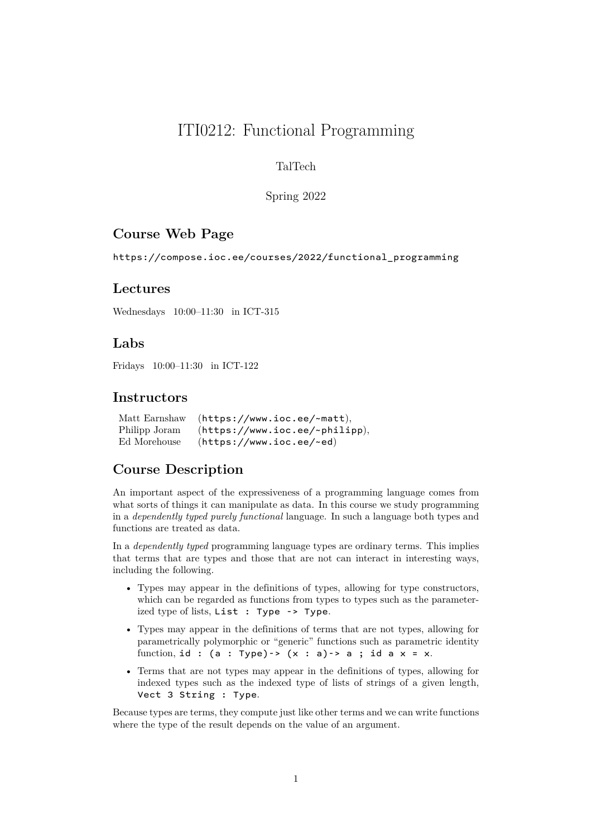# ITI0212: Functional Programming

### TalTech

#### Spring 2022

### **Course Web Page**

https://compose.ioc.ee/courses/2022/functional\_programming

### **Lectures**

[Wednesdays 10:00–11:30 in ICT-315](https://compose.ioc.ee/courses/2022/functional_programming)

### **Labs**

Fridays 10:00–11:30 in ICT-122

### **Instructors**

|               | Matt Earnshaw (https://www.ioc.ee/~matt), |
|---------------|-------------------------------------------|
| Philipp Joram | (https://www.ioc.ee/~philipp),            |
| Ed Morehouse  | (https://www.ioc.ee/~ed)                  |

### **Course Desc[ription](https://www.ioc.ee/~matt)**

An important aspec[t of the expressiveness of a pr](https://www.ioc.ee/~ed)ogramming language comes from what sorts of things it can manipulate as data. In this course we study programming in a *dependently typed purely functional* language. In such a language both types and functions are treated as data.

In a *dependently typed* programming language types are ordinary terms. This implies that terms that are types and those that are not can interact in interesting ways, including the following.

- Types may appear in the definitions of types, allowing for type constructors, which can be regarded as functions from types to types such as the parameterized type of lists, List : Type -> Type.
- Types may appear in the definitions of terms that are not types, allowing for parametrically polymorphic or "generic" functions such as parametric identity function, id :  $(a : Type) \rightarrow (x : a) \rightarrow a$ ; id a  $x = x$ .
- Terms that are not types may appear in the definitions of types, allowing for indexed types such as the indexed type of lists of strings of a given length, Vect 3 String : Type.

Because types are terms, they compute just like other terms and we can write functions where the type of the result depends on the value of an argument.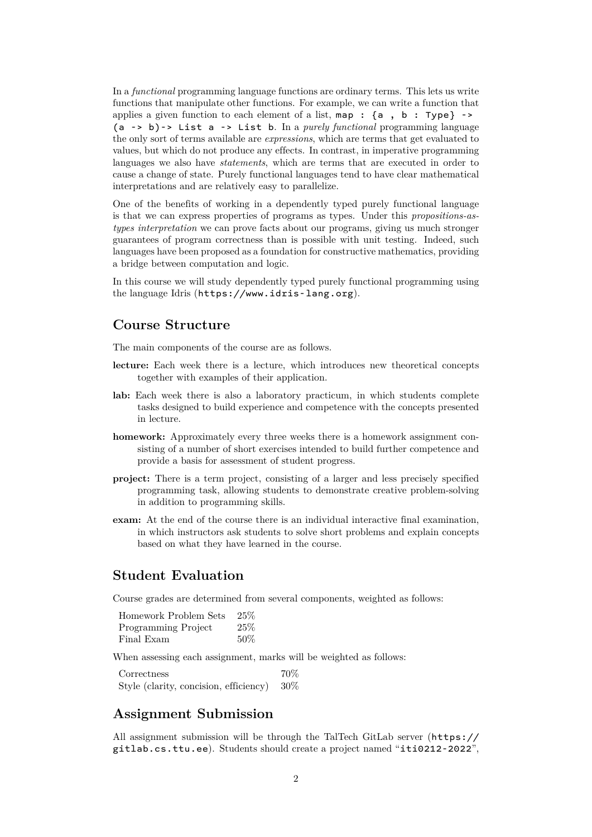In a *functional* programming language functions are ordinary terms. This lets us write functions that manipulate other functions. For example, we can write a function that applies a given function to each element of a list,  $map : \{a, b : Type\}$  -> (a -> b)-> List a -> List b. In a *purely functional* programming language the only sort of terms available are *expressions*, which are terms that get evaluated to values, but which do not produce any effects. In contrast, in imperative programming languages we also have *statements*, which are terms that are executed in order to cause a change of state. Purely functional languages tend to have clear mathematical interpretations and are relatively easy to parallelize.

One of the benefits of working in a dependently typed purely functional language is that we can express properties of programs as types. Under this *propositions-astypes interpretation* we can prove facts about our programs, giving us much stronger guarantees of program correctness than is possible with unit testing. Indeed, such languages have been proposed as a foundation for constructive mathematics, providing a bridge between computation and logic.

In this course we will study dependently typed purely functional programming using the language Idris (https://www.idris-lang.org).

### **Course Structure**

The main compone[nts of the course are as follows.](https://www.idris-lang.org)

- **lecture:** Each week there is a lecture, which introduces new theoretical concepts together with examples of their application.
- **lab:** Each week there is also a laboratory practicum, in which students complete tasks designed to build experience and competence with the concepts presented in lecture.
- **homework:** Approximately every three weeks there is a homework assignment consisting of a number of short exercises intended to build further competence and provide a basis for assessment of student progress.
- **project:** There is a term project, consisting of a larger and less precisely specified programming task, allowing students to demonstrate creative problem-solving in addition to programming skills.
- **exam:** At the end of the course there is an individual interactive final examination, in which instructors ask students to solve short problems and explain concepts based on what they have learned in the course.

### **Student Evaluation**

Course grades are determined from several components, weighted as follows:

| Homework Problem Sets | 25%    |
|-----------------------|--------|
| Programming Project   | 25%    |
| Final Exam            | $50\%$ |

When assessing each assignment, marks will be weighted as follows:

Correctness 70% Style (clarity, concision, efficiency) 30%

### **Assignment Submission**

All assignment submission will be through the TalTech GitLab server (https:// gitlab.cs.ttu.ee). Students should create a project named "iti0212-2022",